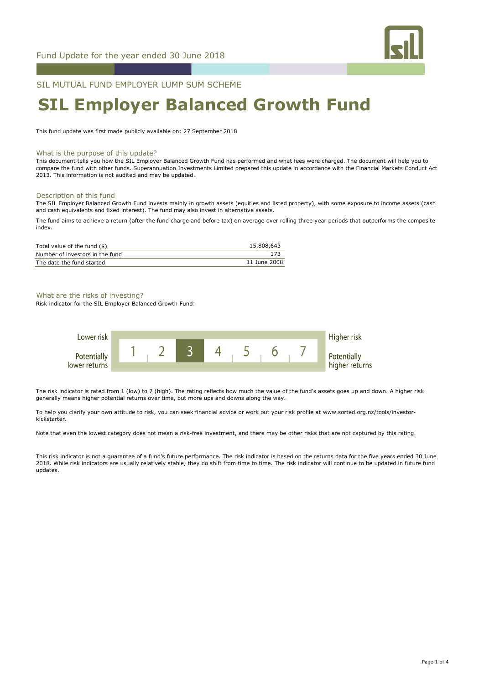

SIL MUTUAL FUND EMPLOYER LUMP SUM SCHEME

# **SIL Employer Balanced Growth Fund**

This fund update was first made publicly available on: 27 September 2018

#### What is the purpose of this update?

This document tells you how the SIL Employer Balanced Growth Fund has performed and what fees were charged. The document will help you to compare the fund with other funds. Superannuation Investments Limited prepared this update in accordance with the Financial Markets Conduct Act 2013. This information is not audited and may be updated.

#### Description of this fund

The SIL Employer Balanced Growth Fund invests mainly in growth assets (equities and listed property), with some exposure to income assets (cash and cash equivalents and fixed interest). The fund may also invest in alternative assets.

The fund aims to achieve a return (after the fund charge and before tax) on average over rolling three year periods that outperforms the composite index.

| Total value of the fund $(\$)$  | 15,808,643   |
|---------------------------------|--------------|
| Number of investors in the fund |              |
| The date the fund started       | 11 June 2008 |

# What are the risks of investing?

Risk indicator for the SIL Employer Balanced Growth Fund:



The risk indicator is rated from 1 (low) to 7 (high). The rating reflects how much the value of the fund's assets goes up and down. A higher risk generally means higher potential returns over time, but more ups and downs along the way.

To help you clarify your own attitude to risk, you can seek financial advice or work out your risk profile at www.sorted.org.nz/tools/investorkickstarter.

Note that even the lowest category does not mean a risk-free investment, and there may be other risks that are not captured by this rating.

This risk indicator is not a guarantee of a fund's future performance. The risk indicator is based on the returns data for the five years ended 30 June 2018. While risk indicators are usually relatively stable, they do shift from time to time. The risk indicator will continue to be updated in future fund updates.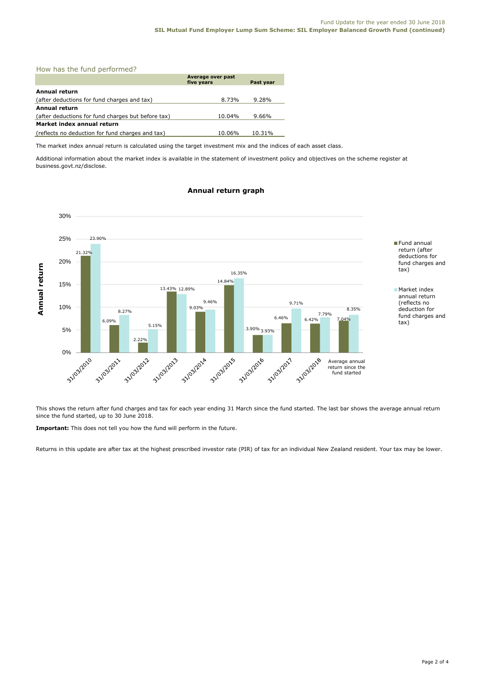|  |  |  |  | How has the fund performed? |
|--|--|--|--|-----------------------------|
|--|--|--|--|-----------------------------|

|                                                    | Average over past<br>five years | Past year |  |  |  |
|----------------------------------------------------|---------------------------------|-----------|--|--|--|
| Annual return                                      |                                 |           |  |  |  |
| (after deductions for fund charges and tax)        | 8.73%                           | 9.28%     |  |  |  |
| Annual return                                      |                                 |           |  |  |  |
| (after deductions for fund charges but before tax) | 10.04%                          | 9.66%     |  |  |  |
| Market index annual return                         |                                 |           |  |  |  |
| (reflects no deduction for fund charges and tax)   | 10.06%                          | 10.31%    |  |  |  |

The market index annual return is calculated using the target investment mix and the indices of each asset class.

Additional information about the market index is available in the statement of investment policy and objectives on the scheme register at business.govt.nz/disclose.

# **Annual return graph**



This shows the return after fund charges and tax for each year ending 31 March since the fund started. The last bar shows the average annual return since the fund started, up to 30 June 2018.

**Important:** This does not tell you how the fund will perform in the future.

Returns in this update are after tax at the highest prescribed investor rate (PIR) of tax for an individual New Zealand resident. Your tax may be lower.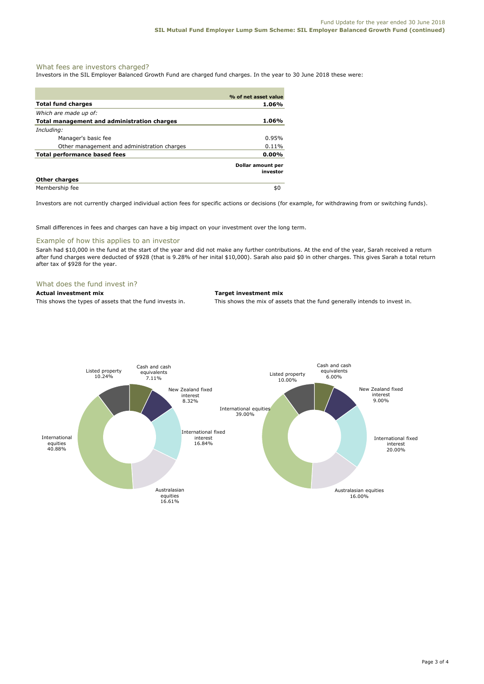# What fees are investors charged?

Investors in the SIL Employer Balanced Growth Fund are charged fund charges. In the year to 30 June 2018 these were:

|                                             | % of net asset value          |
|---------------------------------------------|-------------------------------|
| <b>Total fund charges</b>                   | 1.06%                         |
| Which are made up of:                       |                               |
| Total management and administration charges | 1.06%                         |
| Including:                                  |                               |
| Manager's basic fee                         | 0.95%                         |
| Other management and administration charges | $0.11\%$                      |
| <b>Total performance based fees</b>         | $0.00\%$                      |
|                                             | Dollar amount per<br>investor |
| <b>Other charges</b>                        |                               |
| Membership fee                              | \$0                           |

Investors are not currently charged individual action fees for specific actions or decisions (for example, for withdrawing from or switching funds).

Small differences in fees and charges can have a big impact on your investment over the long term.

# Example of how this applies to an investor

Sarah had \$10,000 in the fund at the start of the year and did not make any further contributions. At the end of the year, Sarah received a return after fund charges were deducted of \$928 (that is 9.28% of her inital \$10,000). Sarah also paid \$0 in other charges. This gives Sarah a total return after tax of \$928 for the year.

# What does the fund invest in?

# **Actual investment mix Target investment mix**

This shows the types of assets that the fund invests in. This shows the mix of assets that the fund generally intends to invest in.